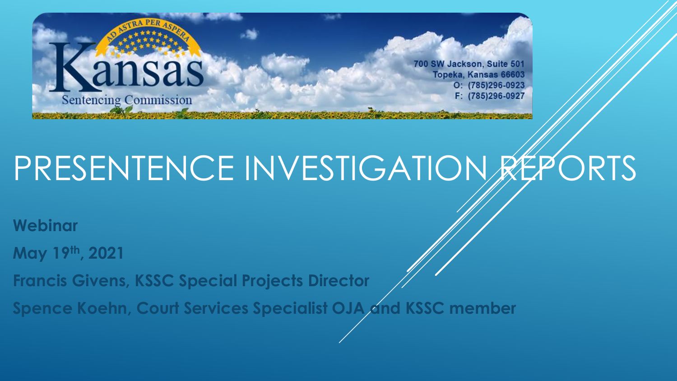

## PRESENTENCE INVESTIGATION REPORTS

**Webinar**

**May 19th, 2021**

**Francis Givens, KSSC Special Projects Director**

**Spence Koehn, Court Services Specialist OJA and KSSC member**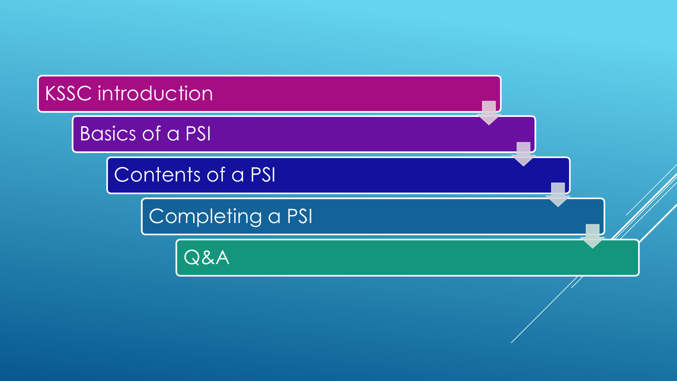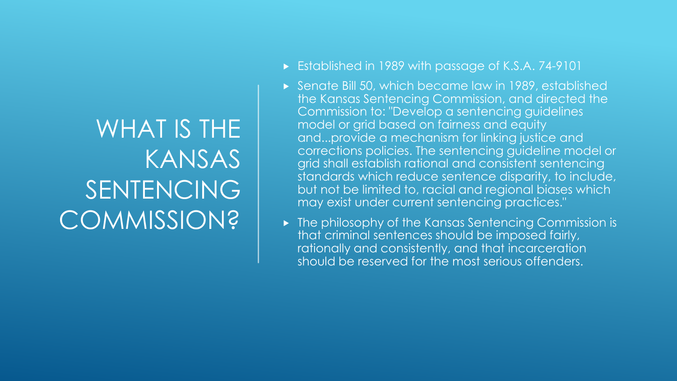### WHAT IS THE KANSAS SENTENCING **COMMISSION?**

- ► Established in 1989 with passage of K.S.A. 74-9101
- Senate Bill 50, which became law in 1989, established the Kansas Sentencing Commission, and directed the Commission to: "Develop a sentencing guidelines model or grid based on fairness and equity and...provide a mechanism for linking justice and corrections policies. The sentencing guideline model or grid shall establish rational and consistent sentencing standards which reduce sentence disparity, to include, but not be limited to, racial and regional biases which may exist under current sentencing practices."
- ▶ The philosophy of the Kansas Sentencing Commission is that criminal sentences should be imposed fairly, rationally and consistently, and that incarceration should be reserved for the most serious offenders.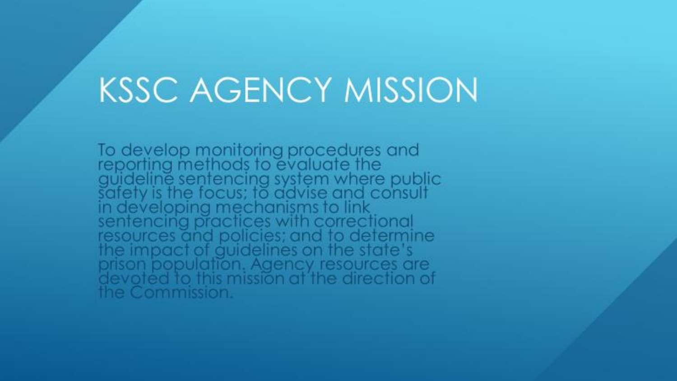### **KSSC AGENCY MISSION**

To develop monitoring procedures and<br>reporting methods to evaluate the<br>guideline sentencing system where public<br>safety is the focus; to advise and consult<br>in developing mechanisms to link<br>sentencing practices with correcti the Commission.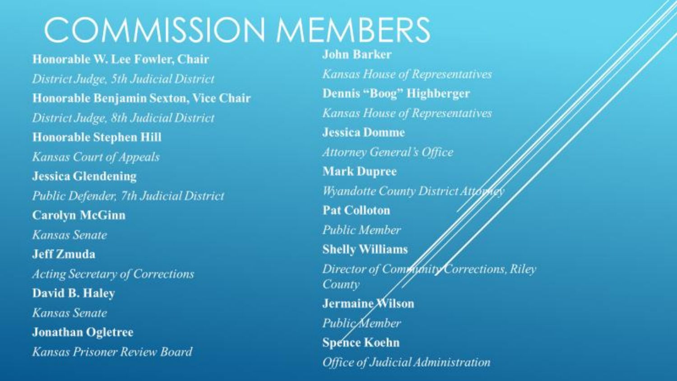## **COMMISSION MEMBERS**

**Honorable W. Lee Fowler, Chair** District Judge, 5th Judicial District Honorable Benjamin Sexton, Vice Chair District Judge, 8th Judicial District **Honorable Stephen Hill** Kansas Court of Appeals **Jessica Glendening** Public Defender, 7th Judicial District **Carolyn McGinn** Kansas Senate **Jeff Zmuda Acting Secretary of Corrections** David B. Haley Kansas Senate **Jonathan Ogletree** Kansas Prisoner Review Board

**John Barker** 

**Kansas House of Representatives Dennis "Boog" Highberger Kansas House of Representatives Jessica Domme Attorney General's Office Mark Dupree Wyandotte County District Att Pat Colloton Public Member Shelly Williams** Director of Community Corrections, Riley County Jermaine Wilson **Public/Member Spence Koehn** Office of Judicial Administration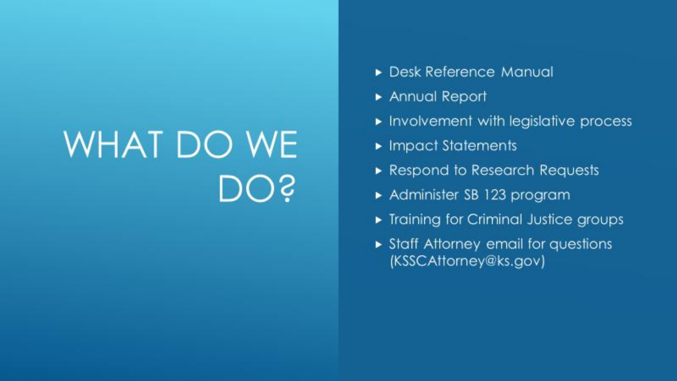# WHAT DO WE DOS

- Desk Reference Manual
- Annual Report
- Involvement with legislative process
- Impact Statements
- Respond to Research Requests
- Administer SB 123 program
- Training for Criminal Justice groups
- Staff Attorney email for questions (KSSCAttorney@ks.gov)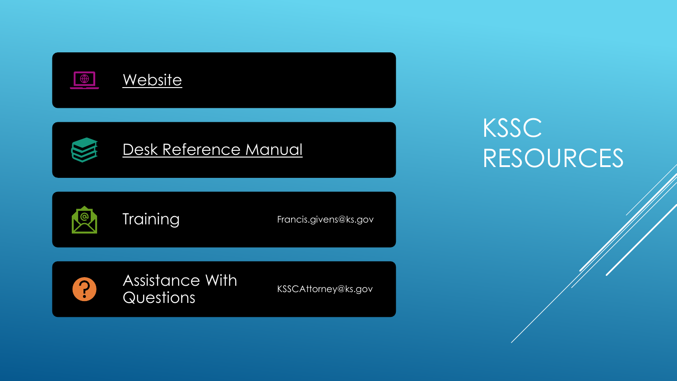

 $\Omega$ 

Assistance With Assistance William KSSCAttorney@ks.gov

### KSSC RESOURCES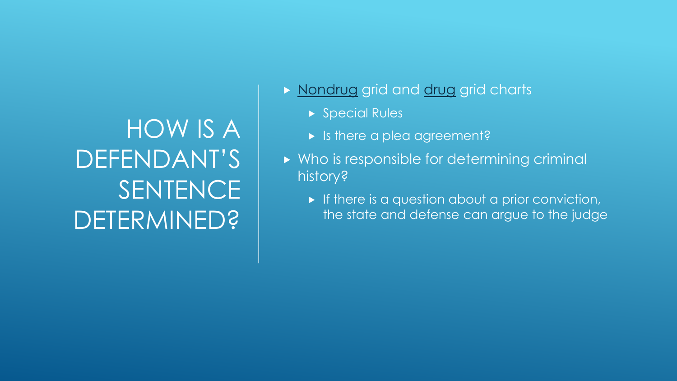HOW IS A DEFENDANT'S **SENTENCE** DETERMINED?

[Nondrug](https://sentencing.ks.gov/docs/default-source/2020-drm/2020_nondrug_gridad38960efbcb68218de7ff0000981210.pdf?sfvrsn=a3f3fe3f_0) grid and [drug](https://sentencing.ks.gov/docs/default-source/2020-drm/2020_drug-grid9d38960efbcb68218de7ff0000981210.pdf?sfvrsn=9cf3fe3f_0) grid charts

- ▶ Special Rules
- **In Italye is there a plea agreement?**
- ▶ Who is responsible for determining criminal history?
	- $\blacktriangleright$  If there is a question about a prior conviction, the state and defense can argue to the judge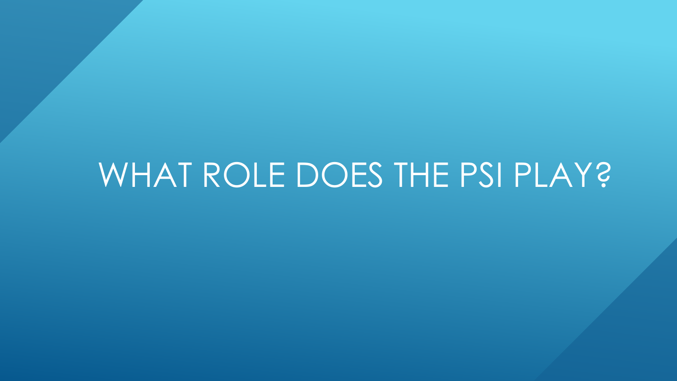### WHAT ROLE DOES THE PSI PLAY?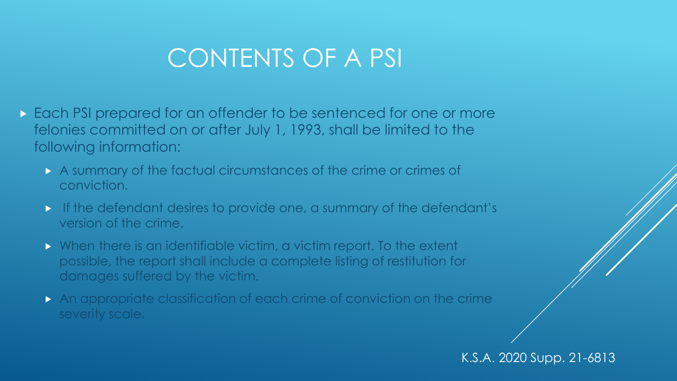#### CONTENTS OF A PSI

- Each PSI prepared for an offender to be sentenced for one or more felonies committed on or after July 1, 1993, shall be limited to the following information:
	- A summary of the factual circumstances of the crime or crimes of conviction.
	- If the defendant desires to provide one, a summary of the defendant's version of the crime.
	- When there is an identifiable victim, a victim report. To the extent possible, the report shall include a complete listing of restitution for damages suffered by the victim.
	- An appropriate classification of each crime of conviction on the crime severity scale.

K.S.A. 2020 Supp. 21-6813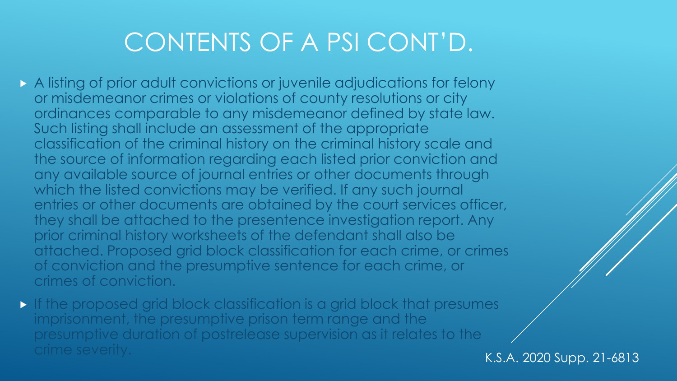### CONTENTS OF A PSI CONT'D.

- A listing of prior adult convictions or juvenile adjudications for felony or misdemeanor crimes or violations of county resolutions or city ordinances comparable to any misdemeanor defined by state law. Such listing shall include an assessment of the appropriate classification of the criminal history on the criminal history scale and the source of information regarding each listed prior conviction and any available source of journal entries or other documents through which the listed convictions may be verified. If any such journal entries or other documents are obtained by the court services officer, they shall be attached to the presentence investigation report. Any prior criminal history worksheets of the defendant shall also be attached. Proposed grid block classification for each crime, or crimes of conviction and the presumptive sentence for each crime, or crimes of conviction.
- If the proposed grid block classification is a grid block that presumes imprisonment, the presumptive prison term range and the presumptive duration of postrelease supervision as it relates to the crime severity. The severity of the contract of the contract of the K.S.A. 2020 Supp. 21-6813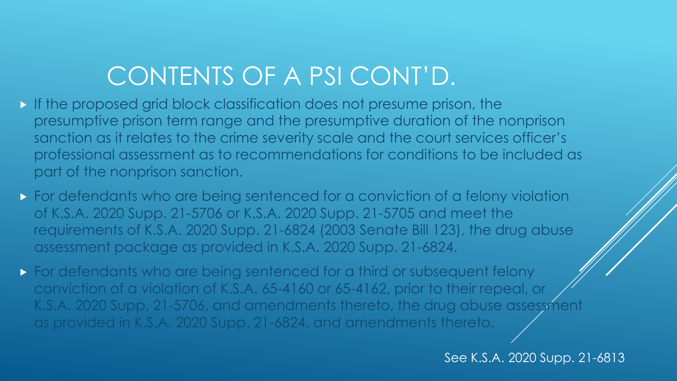### CONTENTS OF A PSI CONT'D.

- If the proposed grid block classification does not presume prison, the presumptive prison term range and the presumptive duration of the nonprison sanction as it relates to the crime severity scale and the court services officer's professional assessment as to recommendations for conditions to be included as part of the nonprison sanction.
- **For defendants who are being sentenced for a conviction of a felony violation** of K.S.A. 2020 Supp. 21-5706 or K.S.A. 2020 Supp. 21-5705 and meet the requirements of K.S.A. 2020 Supp. 21-6824 (2003 Senate Bill 123), the drug abuse assessment package as provided in K.S.A. 2020 Supp. 21-6824.
- **For defendants who are being sentenced for a third or subsequent felony** conviction of a violation of K.S.A. 65-4160 or 65-4162, prior to their repeal, or K.S.A. 2020 Supp. 21-5706, and amendments thereto, the drug abuse assessment as provided in K.S.A. 2020 Supp. 21-6824, and amendments thereto.

See K.S.A. 2020 Supp. 21-6813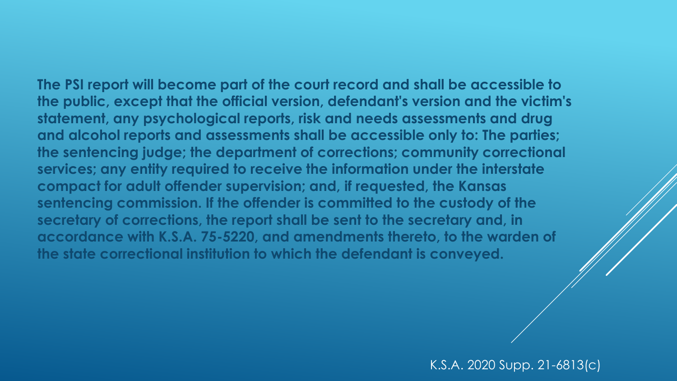**The PSI report will become part of the court record and shall be accessible to the public, except that the official version, defendant's version and the victim's statement, any psychological reports, risk and needs assessments and drug and alcohol reports and assessments shall be accessible only to: The parties; the sentencing judge; the department of corrections; community correctional services; any entity required to receive the information under the interstate compact for adult offender supervision; and, if requested, the Kansas sentencing commission. If the offender is committed to the custody of the secretary of corrections, the report shall be sent to the secretary and, in accordance with K.S.A. 75-5220, and amendments thereto, to the warden of the state correctional institution to which the defendant is conveyed.**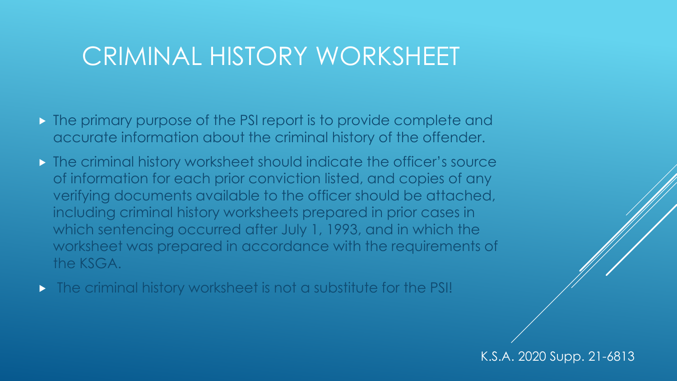#### CRIMINAL HISTORY WORKSHEET

- **The primary purpose of the PSI report is to provide complete and** accurate information about the criminal history of the offender.
- **The criminal history worksheet should indicate the officer's source** of information for each prior conviction listed, and copies of any verifying documents available to the officer should be attached, including criminal history worksheets prepared in prior cases in which sentencing occurred after July 1, 1993, and in which the worksheet was prepared in accordance with the requirements of the KSGA.
- **The criminal history worksheet is not a substitute for the PSI!**

K.S.A. 2020 Supp. 21-6813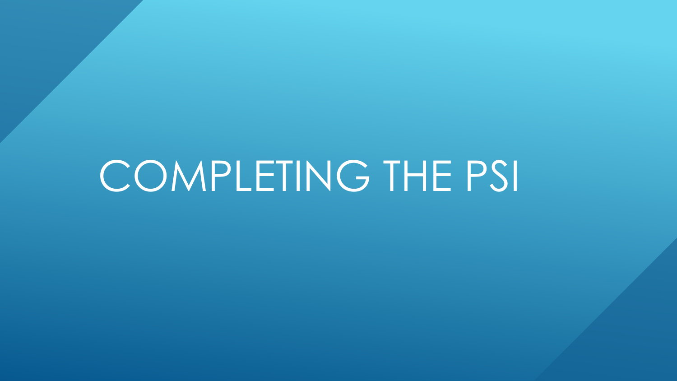## COMPLETING THE PSI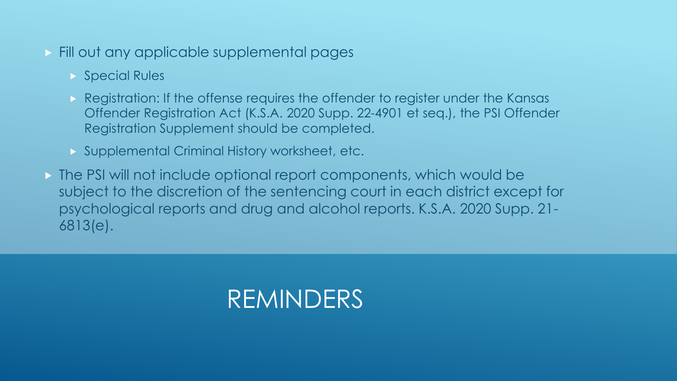- **Fill out any applicable supplemental pages** 
	- **Special Rules**
	- Registration: If the offense requires the offender to register under the Kansas Offender Registration Act (K.S.A. 2020 Supp. 22-4901 et seq.), the PSI Offender Registration Supplement should be completed.
	- **Supplemental Criminal History worksheet, etc.**
- The PSI will not include optional report components, which would be subject to the discretion of the sentencing court in each district except for psychological reports and drug and alcohol reports. K.S.A. 2020 Supp. 21- 6813(e).

#### REMINDERS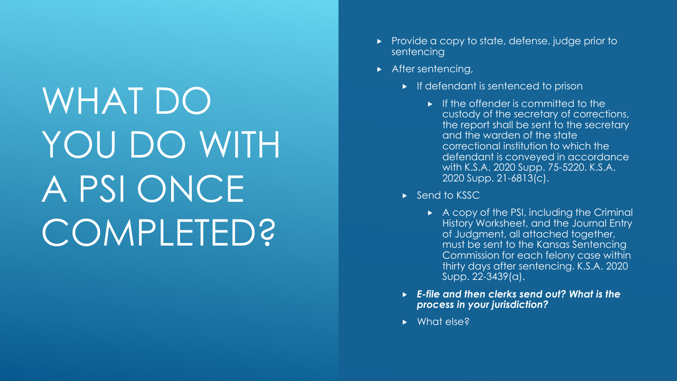WHAT DO YOU DO WITH A PSI ONCE COMPLETED?

- Provide a copy to state, defense, judge prior to sentencing
- After sentencing,
	- $\blacktriangleright$  If defendant is sentenced to prison
		- $\blacktriangleright$  If the offender is committed to the custody of the secretary of corrections, the report shall be sent to the secretary and the warden of the state correctional institution to which the defendant is conveyed in accordance with K.S.A. 2020 Supp. 75-5220. K.S.A. 2020 Supp. 21-6813(c).
	- $\triangleright$  Send to KSSC
		- $\triangleright$  A copy of the PSI, including the Criminal History Worksheet, and the Journal Entry of Judgment, all attached together, must be sent to the Kansas Sentencing Commission for each felony case within thirty days after sentencing. K.S.A. 2020 Supp. 22-3439(a).
	- *E-file and then clerks send out? What is the process in your jurisdiction?*
	- ▶ What else?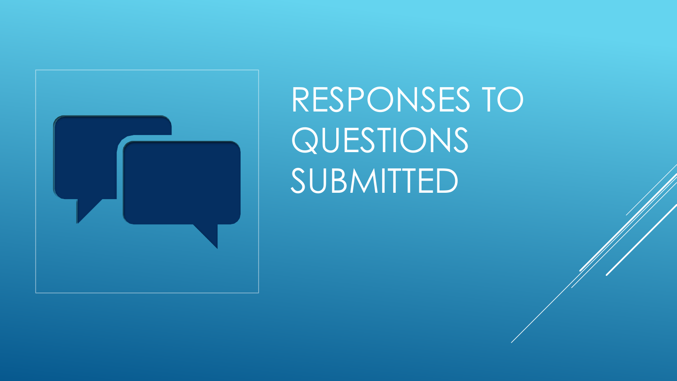

RESPONSES TO QUESTIONS SUBMITTED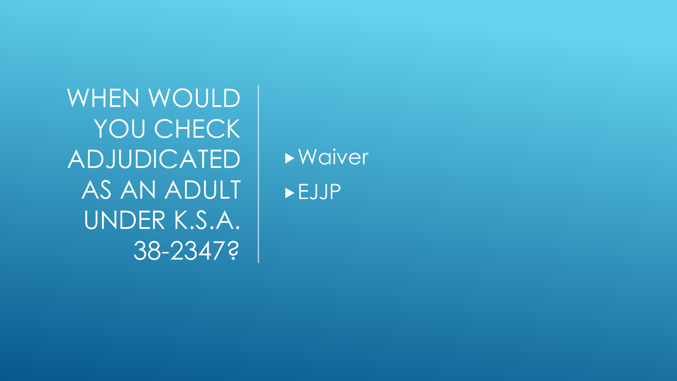WHEN WOULD YOU CHECK ADJUDICATED AS AN ADULT UNDER K.S.A. 38-2347?

Waiver EJJP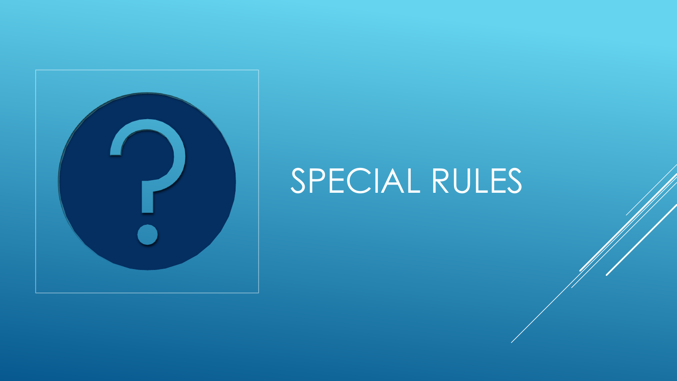

### SPECIAL RULES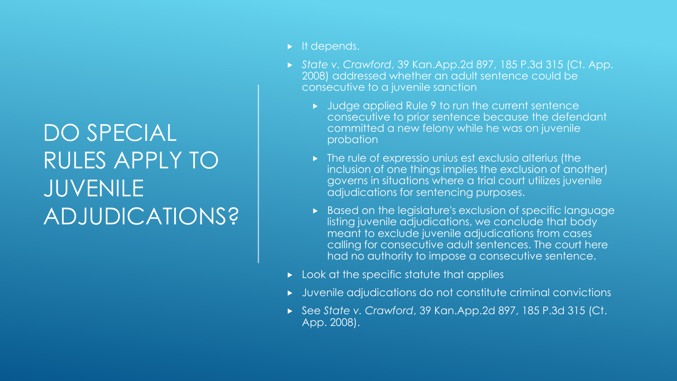#### DO SPECIAL RULES APPLY TO JUVENILE ADJUDICATIONS?

- $\blacktriangleright$  It depends.
- *State v. Crawford*, 39 Kan.App.2d 897, 185 P.3d 315 (Ct. App. 2008) addressed whether an adult sentence could be consecutive to a juvenile sanction
	- Judge applied Rule 9 to run the current sentence consecutive to prior sentence because the defendant committed a new felony while he was on juvenile probation
	- $\triangleright$  The rule of expressio unius est exclusio alterius (the inclusion of one things implies the exclusion of another) governs in situations where a trial court utilizes juvenile adjudications for sentencing purposes.
	- Based on the legislature's exclusion of specific language listing juvenile adjudications, we conclude that body meant to exclude juvenile adjudications from cases calling for consecutive adult sentences. The court here had no authority to impose a consecutive sentence.
- $\triangleright$  Look at the specific statute that applies
- Juvenile adjudications do not constitute criminal convictions
- See *State v. Crawford*, 39 Kan.App.2d 897, 185 P.3d 315 (Ct. App. 2008).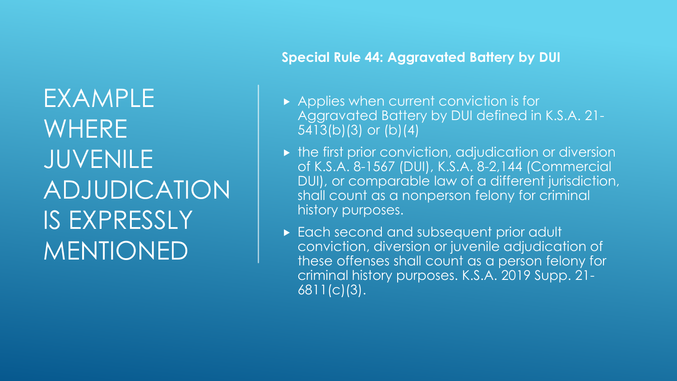EXAMPLE WHERE JUVENILE ADJUDICATION IS EXPRESSLY MENTIONED

#### **Special Rule 44: Aggravated Battery by DUI**

- Applies when current conviction is for Aggravated Battery by DUI defined in K.S.A. 21- 5413(b)(3) or (b)(4)
- $\triangleright$  the first prior conviction, adjudication or diversion of K.S.A. 8-1567 (DUI), K.S.A. 8-2,144 (Commercial DUI), or comparable law of a different jurisdiction, shall count as a nonperson felony for criminal history purposes.
- **Each second and subsequent prior adult** conviction, diversion or juvenile adjudication of these offenses shall count as a person felony for criminal history purposes. K.S.A. 2019 Supp. 21- 6811(c)(3).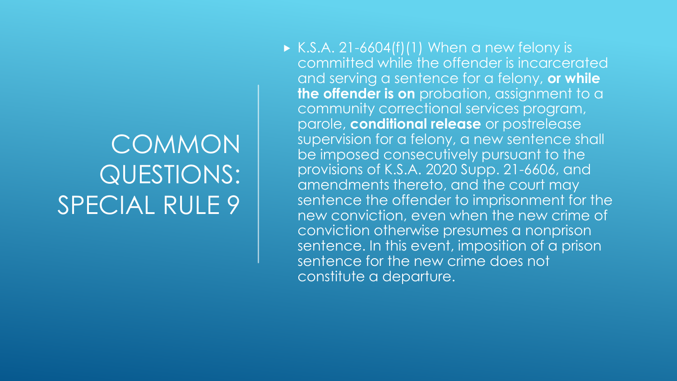### COMMON QUESTIONS: SPECIAL RULE 9

 $\triangleright$  K.S.A. 21-6604(f)(1) When a new felony is committed while the offender is incarcerated and serving a sentence for a felony, **or while the offender is on** probation, assignment to a community correctional services program, parole, **conditional release** or postrelease supervision for a felony, a new sentence shall be imposed consecutively pursuant to the provisions of K.S.A. 2020 Supp. 21-6606, and amendments thereto, and the court may sentence the offender to imprisonment for the new conviction, even when the new crime of conviction otherwise presumes a nonprison sentence. In this event, imposition of a prison sentence for the new crime does not constitute a departure.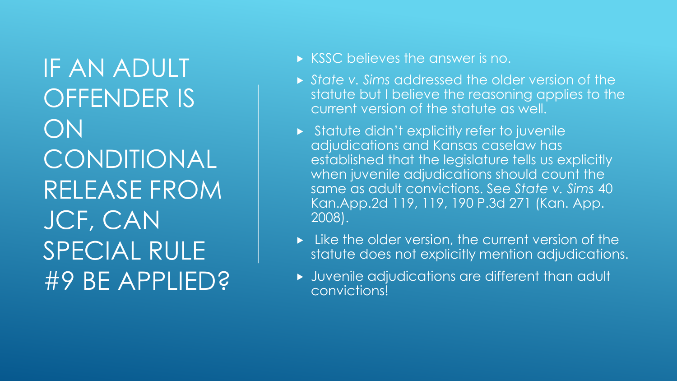IF AN ADULT OFFENDER IS ON CONDITIONAL RELEASE FROM JCF, CAN SPECIAL RULE #9 BE APPLIED?

- KSSC believes the answer is no.
- *State v. Sims* addressed the older version of the statute but I believe the reasoning applies to the current version of the statute as well.
- Statute didn't explicitly refer to juvenile adjudications and Kansas caselaw has established that the legislature tells us explicitly when juvenile adjudications should count the same as adult convictions. See *State v. Sims* 40 Kan.App.2d 119, 119, 190 P.3d 271 (Kan. App. 2008).
- $\triangleright$  Like the older version, the current version of the statute does not explicitly mention adjudications.
- Juvenile adjudications are different than adult convictions!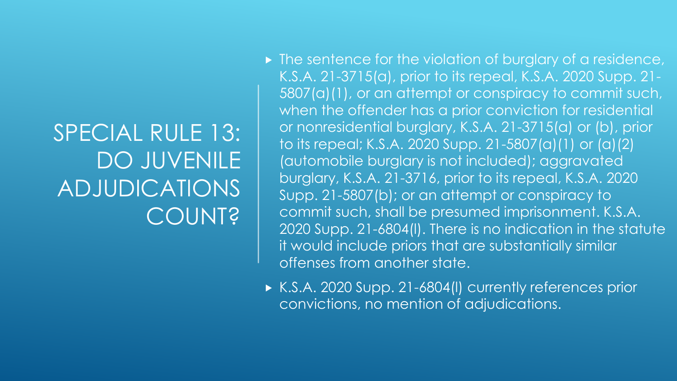#### SPECIAL RULE 13: DO JUVENILE ADJUDICATIONS **COUNT?**

- $\triangleright$  The sentence for the violation of burglary of a residence, K.S.A. 21-3715(a), prior to its repeal, K.S.A. 2020 Supp. 21- 5807(a)(1), or an attempt or conspiracy to commit such, when the offender has a prior conviction for residential or nonresidential burglary, K.S.A. 21-3715(a) or (b), prior to its repeal; K.S.A. 2020 Supp. 21-5807(a)(1) or (a)(2) (automobile burglary is not included); aggravated burglary, K.S.A. 21-3716, prior to its repeal, K.S.A. 2020 Supp. 21-5807(b); or an attempt or conspiracy to commit such, shall be presumed imprisonment. K.S.A. 2020 Supp. 21-6804(l). There is no indication in the statute it would include priors that are substantially similar offenses from another state.
- ▶ K.S.A. 2020 Supp. 21-6804(I) currently references prior convictions, no mention of adjudications.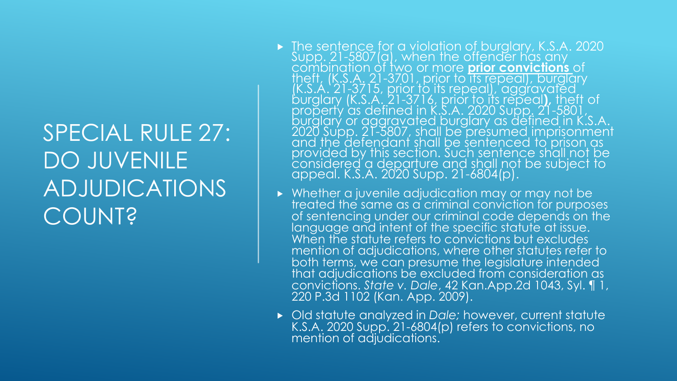#### SPECIAL RULE 27: DO JUVENILE ADJUDICATIONS **COUNT?**

- ▶ The sentence for a violation of burglary, K.S.A. 2020 Supp. 21-5807(a), when the offender has any combination of two or more **prior convictions** of theft, (K.S.A. 21-3701, prior to its repeal), burglary (K.S.A. 21-3715, prior to its repeal), aggravated burglary (K.S.A. 21-3716, prior to its repeal**),** theft of property as defined in K.S.A. 2020 Supp. 21-5801, burglary or aggravated burglary as defined in K.S.A. 2020 Supp. 21-5807, shall be presumed imprisonment and the defendant shall be sentenced to prison as provided by this section. Such sentence shall not be considered a departure and shall not be subject to appeal. K.S.A. 2020 Supp. 21-6804(p).
- Whether a juvenile adjudication may or may not be treated the same as a criminal conviction for purposes of sentencing under our criminal code depends on the language and intent of the specific statute at issue. When the statute refers to convictions but excludes mention of adjudications, where other statutes refer to both terms, we can presume the legislature intended that adjudications be excluded from consideration as convictions. *State v. Dale*, 42 Kan.App.2d 1043, Syl. ¶ 1, 220 P.3d 1102 (Kan. App. 2009).
- Old statute analyzed in *Dale;* however, current statute K.S.A. 2020 Supp. 21-6804(p) refers to convictions, no mention of adjudications.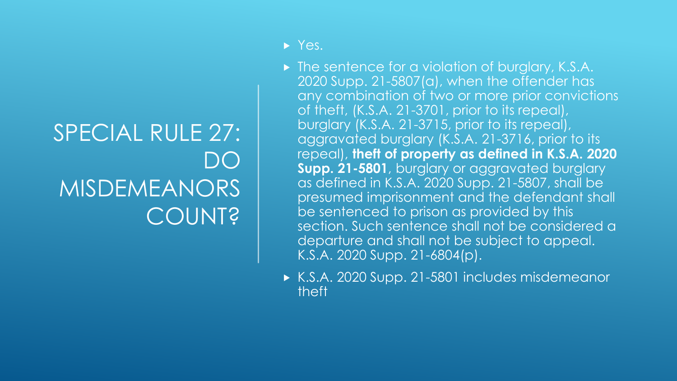#### SPECIAL RULE 27: DO MISDEMEANORS COUNT?

- $\triangleright$  Yes.
- ▶ The sentence for a violation of burglary, K.S.A. 2020 Supp. 21-5807(a), when the offender has any combination of two or more prior convictions of theft, (K.S.A. 21-3701, prior to its repeal), burglary (K.S.A. 21-3715, prior to its repeal), aggravated burglary (K.S.A. 21-3716, prior to its repeal), **theft of property as defined in K.S.A. 2020 Supp. 21-5801**, burglary or aggravated burglary as defined in K.S.A. 2020 Supp. 21-5807, shall be presumed imprisonment and the defendant shall be sentenced to prison as provided by this section. Such sentence shall not be considered a departure and shall not be subject to appeal. K.S.A. 2020 Supp. 21-6804(p).
- ► K.S.A. 2020 Supp. 21-5801 includes misdemeanor theft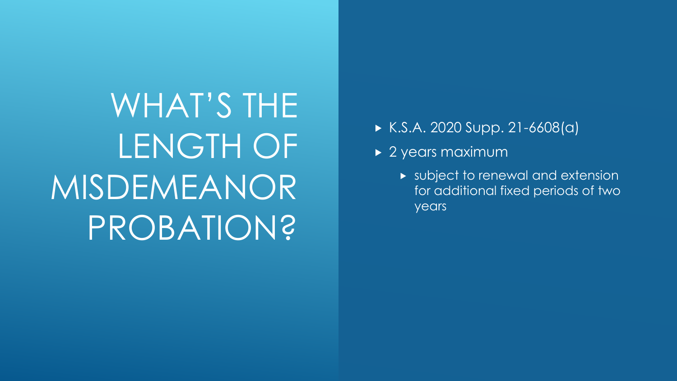WHAT'S THE LENGTH OF MISDEMEANOR PROBATION?

- $K.S.A. 2020 Supp. 21-6608(a)$
- ▶ 2 years maximum
	- **DE subject to renewal and extension** for additional fixed periods of two years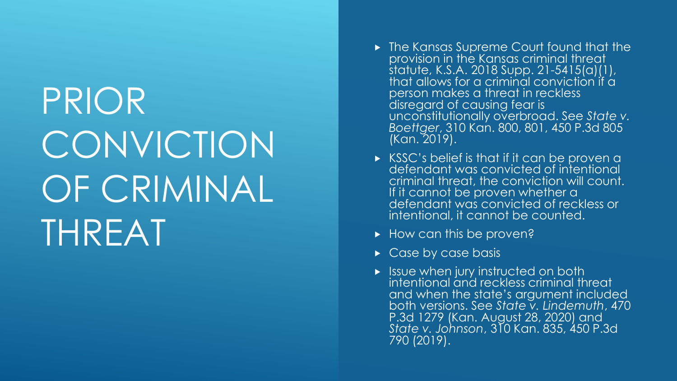# PRIOR **CONVICTION** OF CRIMINAL THREAT

- ▶ The Kansas Supreme Court found that the provision in the Kansas criminal threat statute, K.S.A. 2018 Supp. 21-5415(a)(1), that allows for a criminal conviction if a person makes a threat in reckless disregard of causing fear is unconstitutionally overbroad. See *State v. Boettger*, 310 Kan. 800, 801, 450 P.3d 805 (Kan. 2019).
- ► KSSC's belief is that if it can be proven a defendant was convicted of intentional criminal threat, the conviction will count. If it cannot be proven whether a defendant was convicted of reckless or intentional, it cannot be counted.
- $\blacktriangleright$  How can this be proven?
- Case by case basis
- $\blacktriangleright$  Issue when jury instructed on both intentional and reckless criminal threat and when the state's argument included both versions. See *State v. Lindemuth*, 470 P.3d 1279 (Kan. August 28, 2020) and *State v. Johnson*, 310 Kan. 835, 450 P.3d 790 (2019).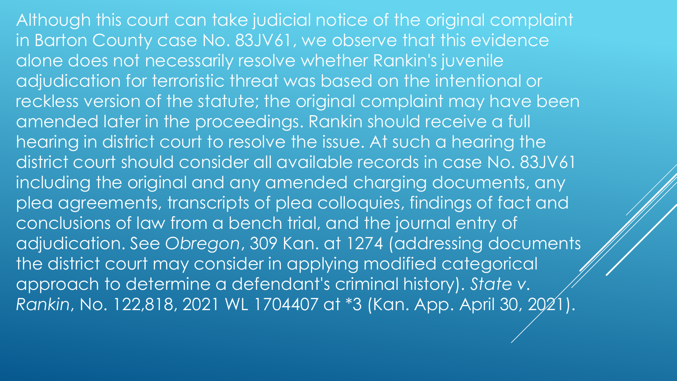Although this court can take judicial notice of the original complaint in Barton County case No. 83JV61, we observe that this evidence alone does not necessarily resolve whether Rankin's juvenile adjudication for terroristic threat was based on the intentional or reckless version of the statute; the original complaint may have been amended later in the proceedings. Rankin should receive a full hearing in district court to resolve the issue. At such a hearing the district court should consider all available records in case No. 83JV61 including the original and any amended charging documents, any plea agreements, transcripts of plea colloquies, findings of fact and conclusions of law from a bench trial, and the journal entry of adjudication. See *Obregon*, 309 Kan. at 1274 (addressing documents the district court may consider in applying modified categorical approach to determine a defendant's criminal history). *State v. Rankin*, No. 122,818, 2021 WL 1704407 at \*3 (Kan. App. April 30, 2021).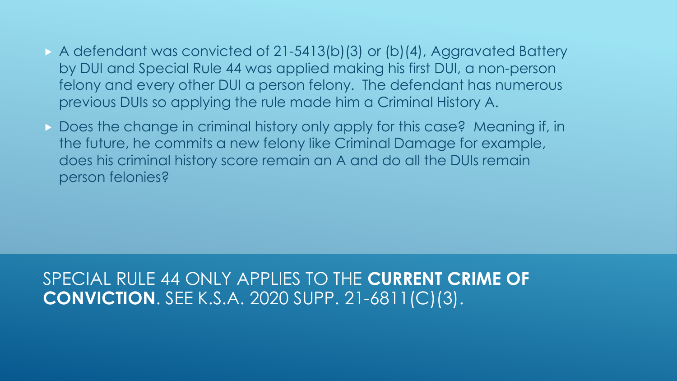- A defendant was convicted of 21-5413(b)(3) or (b)(4), Aggravated Battery by DUI and Special Rule 44 was applied making his first DUI, a non-person felony and every other DUI a person felony. The defendant has numerous previous DUIs so applying the rule made him a Criminal History A.
- Does the change in criminal history only apply for this case? Meaning if, in the future, he commits a new felony like Criminal Damage for example, does his criminal history score remain an A and do all the DUIs remain person felonies?

#### SPECIAL RULE 44 ONLY APPLIES TO THE **CURRENT CRIME OF CONVICTION**. SEE K.S.A. 2020 SUPP. 21-6811(C)(3).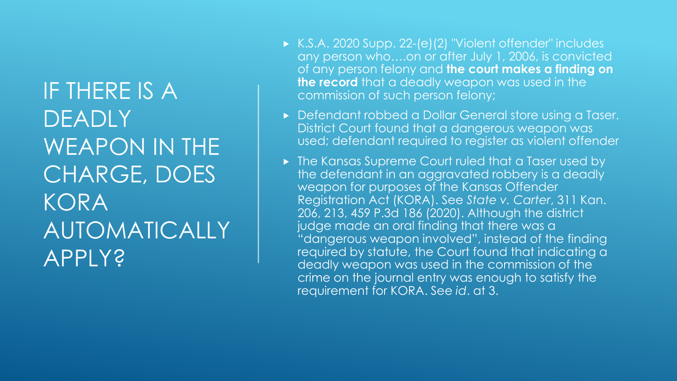IF THERE IS A DEADLY WEAPON IN THE CHARGE, DOES KORA AUTOMATICALLY APPLY?

- ► K.S.A. 2020 Supp. 22-(e)(2) "Violent offender" includes any person who….on or after July 1, 2006, is convicted of any person felony and **the court makes a finding on the record** that a deadly weapon was used in the commission of such person felony;
- **Defendant robbed a Dollar General store using a Taser.** District Court found that a dangerous weapon was used; defendant required to register as violent offender
- **Follow Figure 1** The Kansas Supreme Court ruled that a Taser used by the defendant in an aggravated robbery is a deadly weapon for purposes of the Kansas Offender Registration Act (KORA). See *State v. Carter*, 311 Kan. 206, 213, 459 P.3d 186 (2020). Although the district judge made an oral finding that there was a "dangerous weapon involved", instead of the finding required by statute, the Court found that indicating a deadly weapon was used in the commission of the crime on the journal entry was enough to satisfy the requirement for KORA. See *id*. at 3.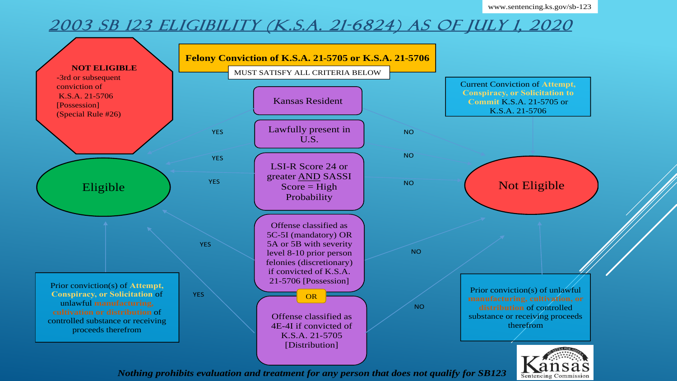**Sentencing Commission** 

#### 2003 SB 123 ELIGIBILITY (K.S.A. 21-6824) AS OF JULY 1, 2020



*Nothing prohibits evaluation and treatment for any person that does not qualify for SB123*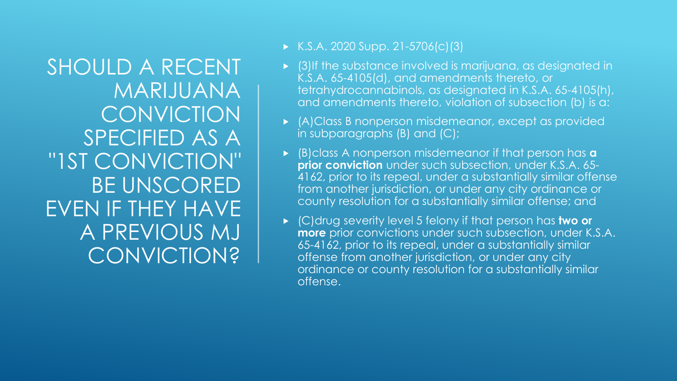SHOULD A RECENT MARIJUANA **CONVICTION** SPECIFIED AS A "1ST CONVICTION" BE UNSCORED EVEN IF THEY HAVE A PREVIOUS MJ **CONVICTION?** 

- $K.S.A. 2020 Supp. 21-5706(c)(3)$
- (3)If the substance involved is marijuana, as designated in K.S.A. 65-4105(d), and amendments thereto, or tetrahydrocannabinols, as designated in K.S.A. 65-4105(h), and amendments thereto, violation of subsection (b) is a:
- (A)Class B nonperson misdemeanor, except as provided in subparagraphs (B) and (C);
- (B)class A nonperson misdemeanor if that person has **a prior conviction** under such subsection, under K.S.A. 65- 4162, prior to its repeal, under a substantially similar offense from another jurisdiction, or under any city ordinance or county resolution for a substantially similar offense; and
- (C)drug severity level 5 felony if that person has **two or more** prior convictions under such subsection, under K.S.A. 65-4162, prior to its repeal, under a substantially similar offense from another jurisdiction, or under any city ordinance or county resolution for a substantially similar offense.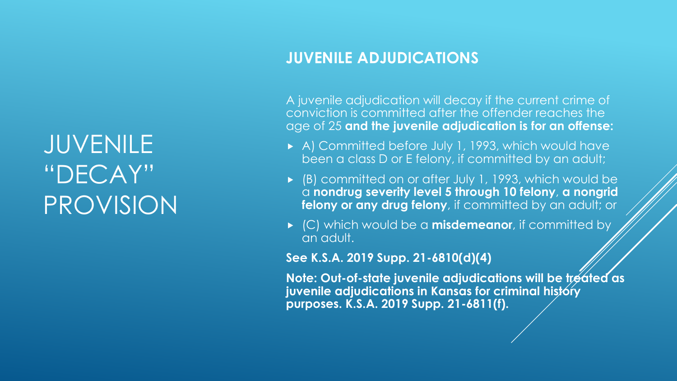**JUVENILE** "DECAY" PROVISION

#### **JUVENILE ADJUDICATIONS**

A juvenile adjudication will decay if the current crime of conviction is committed after the offender reaches the age of 25 **and the juvenile adjudication is for an offense:**

- A) Committed before July 1, 1993, which would have been a class D or E felony, if committed by an adult;
- (B) committed on or after July 1, 1993, which would be a **nondrug severity level 5 through 10 felony**, **a nongrid felony or any drug felony**, if committed by an adult; or
- **EX (C)** which would be a **misdemeanor**, if committed by an adult.

**See K.S.A. 2019 Supp. 21-6810(d)(4)**

**Note: Out-of-state juvenile adjudications will be treated as juvenile adjudications in Kansas for criminal history purposes. K.S.A. 2019 Supp. 21-6811(f).**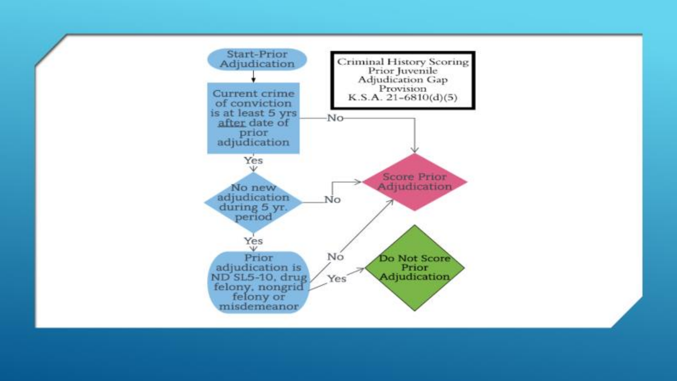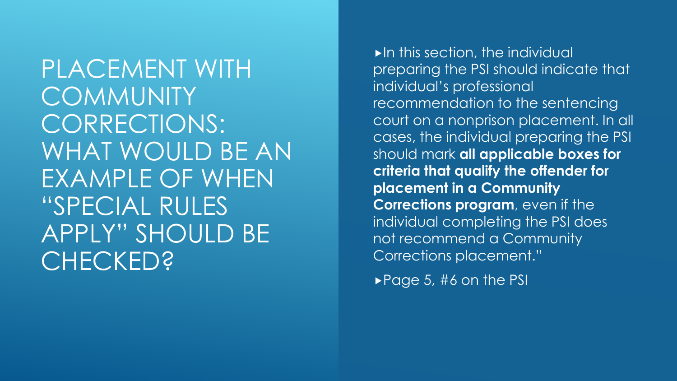PLACEMENT WITH **COMMUNITY** CORRECTIONS: WHAT WOULD BE AN EXAMPLE OF WHEN "SPECIAL RULES APPLY" SHOULD BE CHECKED?

In this section, the individual preparing the PSI should indicate that individual's professional recommendation to the sentencing court on a nonprison placement. In all cases, the individual preparing the PSI should mark **all applicable boxes for criteria that qualify the offender for placement in a Community Corrections program**, even if the individual completing the PSI does not recommend a Community Corrections placement."

 $\blacktriangleright$  Page 5, #6 on the PSI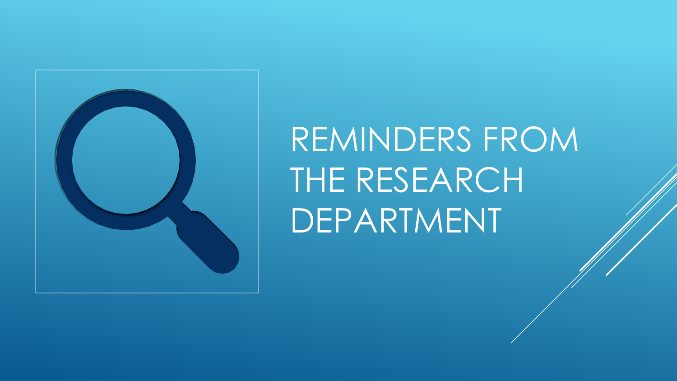

## REMINDERS FROM THE RESEARCH DEPARTMENT